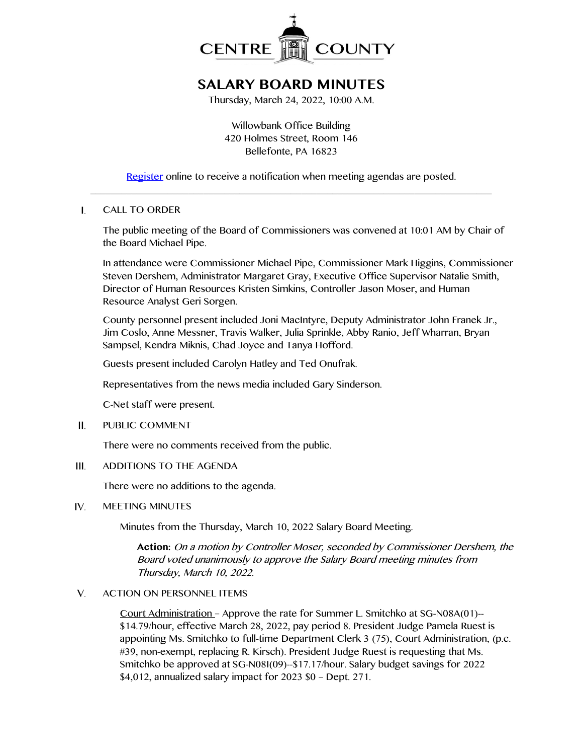

# **SALARY BOARD MINUTES**

Thursday, March 24, 2022, 10:00 A.M.

Willowbank Office Building 420 Holmes Street, Room 146 Bellefonte, PA 16823

[Register](http://www.centrecountypa.gov/AgendaCenter) online to receive a notification when meeting agendas are posted.  $\_$  , and the contribution of the contribution of  $\mathcal{L}_\mathcal{A}$  , and the contribution of  $\mathcal{L}_\mathcal{A}$ 

### $\mathbf{I}$ . CALL TO ORDER

The public meeting of the Board of Commissioners was convened at 10:01 AM by Chair of the Board Michael Pipe.

In attendance were Commissioner Michael Pipe, Commissioner Mark Higgins, Commissioner Steven Dershem, Administrator Margaret Gray, Executive Office Supervisor Natalie Smith, Director of Human Resources Kristen Simkins, Controller Jason Moser, and Human Resource Analyst Geri Sorgen.

County personnel present included Joni MacIntyre, Deputy Administrator John Franek Jr., Jim Coslo, Anne Messner, Travis Walker, Julia Sprinkle, Abby Ranio, Jeff Wharran, Bryan Sampsel, Kendra Miknis, Chad Joyce and Tanya Hofford.

Guests present included Carolyn Hatley and Ted Onufrak.

Representatives from the news media included Gary Sinderson.

C-Net staff were present.

 $II.$ PUBLIC COMMENT

There were no comments received from the public.

 $III.$ ADDITIONS TO THE AGENDA

There were no additions to the agenda.

#### IV. MEETING MINUTES

Minutes from the Thursday, March 10, 2022 Salary Board Meeting.

**Action:** On a motion by Controller Moser, seconded by Commissioner Dershem, the Board voted unanimously to approve the Salary Board meeting minutes from Thursday, March 10, 2022.

## V. ACTION ON PERSONNEL ITEMS

Court Administration – Approve the rate for Summer L. Smitchko at SG-N08A(01)-- \$14.79/hour, effective March 28, 2022, pay period 8. President Judge Pamela Ruest is appointing Ms. Smitchko to full-time Department Clerk 3 (75), Court Administration, (p.c. #39, non-exempt, replacing R. Kirsch). President Judge Ruest is requesting that Ms. Smitchko be approved at SG-N08I(09)--\$17.17/hour. Salary budget savings for 2022 \$4,012, annualized salary impact for 2023 \$0 – Dept. 271.